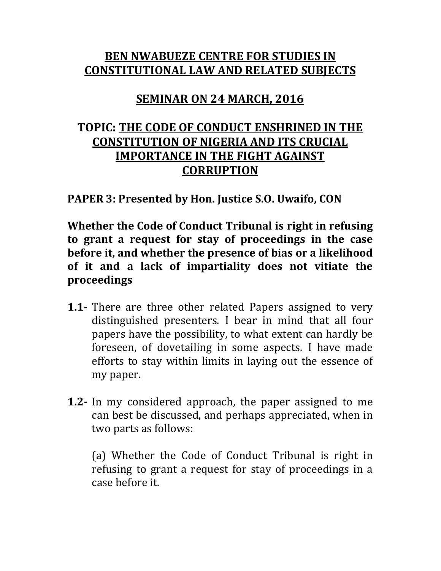## **BEN NWABUEZE CENTRE FOR STUDIES IN CONSTITUTIONAL LAW AND RELATED SUBJECTS**

## **SEMINAR ON 24 MARCH, 2016**

## **TOPIC: THE CODE OF CONDUCT ENSHRINED IN THE CONSTITUTION OF NIGERIA AND ITS CRUCIAL IMPORTANCE IN THE FIGHT AGAINST CORRUPTION**

**PAPER 3: Presented by Hon. Justice S.O. Uwaifo, CON**

**Whether the Code of Conduct Tribunal is right in refusing to grant a request for stay of proceedings in the case before it, and whether the presence of bias or a likelihood of it and a lack of impartiality does not vitiate the proceedings**

- **1.1-** There are three other related Papers assigned to very distinguished presenters. I bear in mind that all four papers have the possibility, to what extent can hardly be foreseen, of dovetailing in some aspects. I have made efforts to stay within limits in laying out the essence of my paper.
- **1.2-** In my considered approach, the paper assigned to me can best be discussed, and perhaps appreciated, when in two parts as follows:

(a) Whether the Code of Conduct Tribunal is right in refusing to grant a request for stay of proceedings in a case before it.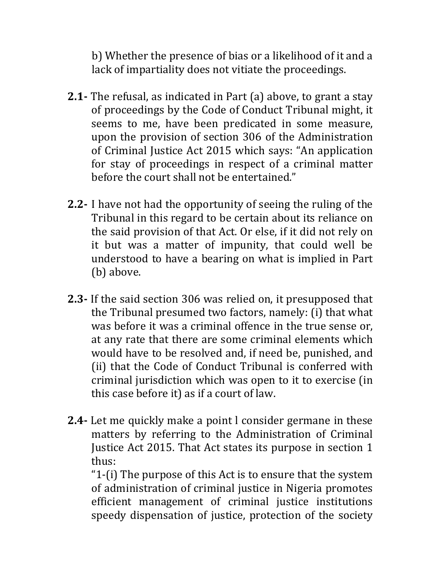b) Whether the presence of bias or a likelihood of it and a lack of impartiality does not vitiate the proceedings.

- **2.1-** The refusal, as indicated in Part (a) above, to grant a stay of proceedings by the Code of Conduct Tribunal might, it seems to me, have been predicated in some measure, upon the provision of section 306 of the Administration of Criminal Justice Act 2015 which says: "An application for stay of proceedings in respect of a criminal matter before the court shall not be entertained."
- **2.2-** I have not had the opportunity of seeing the ruling of the Tribunal in this regard to be certain about its reliance on the said provision of that Act. Or else, if it did not rely on it but was a matter of impunity, that could well be understood to have a bearing on what is implied in Part (b) above.
- **2.3-** If the said section 306 was relied on, it presupposed that the Tribunal presumed two factors, namely: (i) that what was before it was a criminal offence in the true sense or, at any rate that there are some criminal elements which would have to be resolved and, if need be, punished, and (ii) that the Code of Conduct Tribunal is conferred with criminal jurisdiction which was open to it to exercise (in this case before it) as if a court of law.
- **2.4-** Let me quickly make a point l consider germane in these matters by referring to the Administration of Criminal Justice Act 2015. That Act states its purpose in section 1 thus:

"1-(i) The purpose of this Act is to ensure that the system of administration of criminal justice in Nigeria promotes efficient management of criminal justice institutions speedy dispensation of justice, protection of the society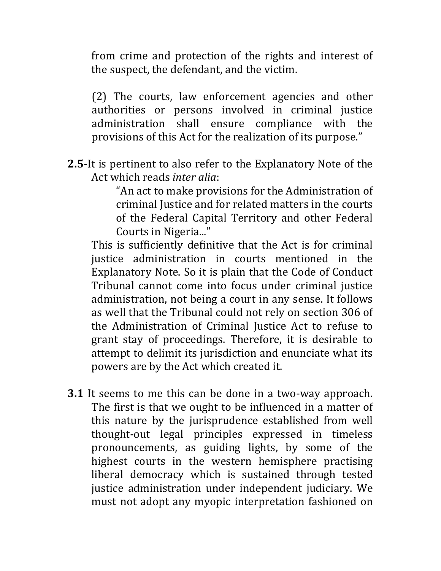from crime and protection of the rights and interest of the suspect, the defendant, and the victim.

(2) The courts, law enforcement agencies and other authorities or persons involved in criminal justice administration shall ensure compliance with the provisions of this Act for the realization of its purpose."

**2.5**-It is pertinent to also refer to the Explanatory Note of the Act which reads *inter alia*:

> "An act to make provisions for the Administration of criminal Justice and for related matters in the courts of the Federal Capital Territory and other Federal Courts in Nigeria..."

This is sufficiently definitive that the Act is for criminal justice administration in courts mentioned in the Explanatory Note. So it is plain that the Code of Conduct Tribunal cannot come into focus under criminal justice administration, not being a court in any sense. It follows as well that the Tribunal could not rely on section 306 of the Administration of Criminal Justice Act to refuse to grant stay of proceedings. Therefore, it is desirable to attempt to delimit its jurisdiction and enunciate what its powers are by the Act which created it.

**3.1** It seems to me this can be done in a two-way approach. The first is that we ought to be influenced in a matter of this nature by the jurisprudence established from well thought-out legal principles expressed in timeless pronouncements, as guiding lights, by some of the highest courts in the western hemisphere practising liberal democracy which is sustained through tested justice administration under independent judiciary. We must not adopt any myopic interpretation fashioned on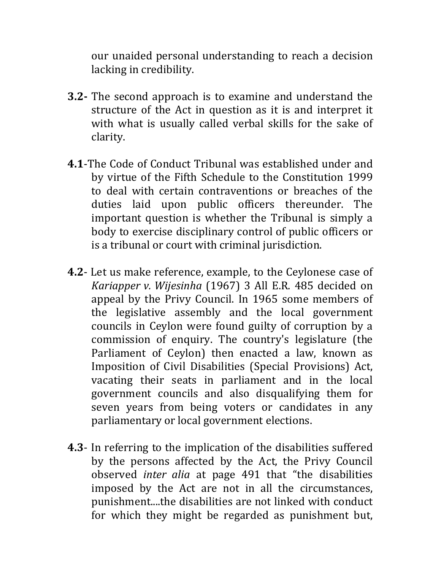our unaided personal understanding to reach a decision lacking in credibility.

- **3.2-** The second approach is to examine and understand the structure of the Act in question as it is and interpret it with what is usually called verbal skills for the sake of clarity.
- **4.1**-The Code of Conduct Tribunal was established under and by virtue of the Fifth Schedule to the Constitution 1999 to deal with certain contraventions or breaches of the duties laid upon public officers thereunder. The important question is whether the Tribunal is simply a body to exercise disciplinary control of public officers or is a tribunal or court with criminal jurisdiction.
- **4.2** Let us make reference, example, to the Ceylonese case of *Kariapper v. Wijesinha* (1967) 3 All E.R. 485 decided on appeal by the Privy Council. In 1965 some members of the legislative assembly and the local government councils in Ceylon were found guilty of corruption by a commission of enquiry. The country's legislature (the Parliament of Ceylon) then enacted a law, known as Imposition of Civil Disabilities (Special Provisions) Act, vacating their seats in parliament and in the local government councils and also disqualifying them for seven years from being voters or candidates in any parliamentary or local government elections.
- **4.3** In referring to the implication of the disabilities suffered by the persons affected by the Act, the Privy Council observed *inter alia* at page 491 that "the disabilities imposed by the Act are not in all the circumstances, punishment....the disabilities are not linked with conduct for which they might be regarded as punishment but,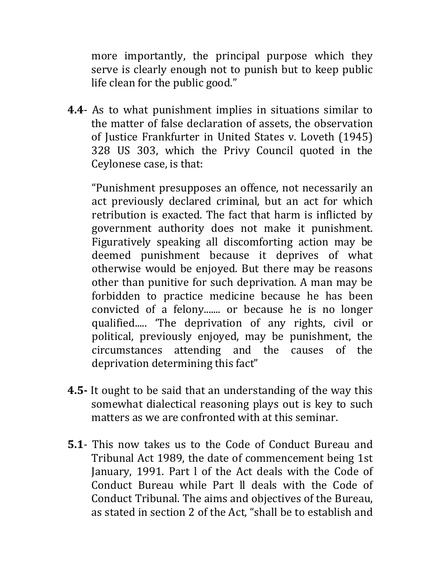more importantly, the principal purpose which they serve is clearly enough not to punish but to keep public life clean for the public good."

**4.4**- As to what punishment implies in situations similar to the matter of false declaration of assets, the observation of Justice Frankfurter in United States v. Loveth (1945) 328 US 303, which the Privy Council quoted in the Ceylonese case, is that:

"Punishment presupposes an offence, not necessarily an act previously declared criminal, but an act for which retribution is exacted. The fact that harm is inflicted by government authority does not make it punishment. Figuratively speaking all discomforting action may be deemed punishment because it deprives of what otherwise would be enjoyed. But there may be reasons other than punitive for such deprivation. A man may be forbidden to practice medicine because he has been convicted of a felony....... or because he is no longer qualified..... 'The deprivation of any rights, civil or political, previously enjoyed, may be punishment, the circumstances attending and the causes of the deprivation determining this fact"

- **4.5-** It ought to be said that an understanding of the way this somewhat dialectical reasoning plays out is key to such matters as we are confronted with at this seminar.
- **5.1** This now takes us to the Code of Conduct Bureau and Tribunal Act 1989, the date of commencement being 1st January, 1991. Part l of the Act deals with the Code of Conduct Bureau while Part ll deals with the Code of Conduct Tribunal. The aims and objectives of the Bureau, as stated in section 2 of the Act, "shall be to establish and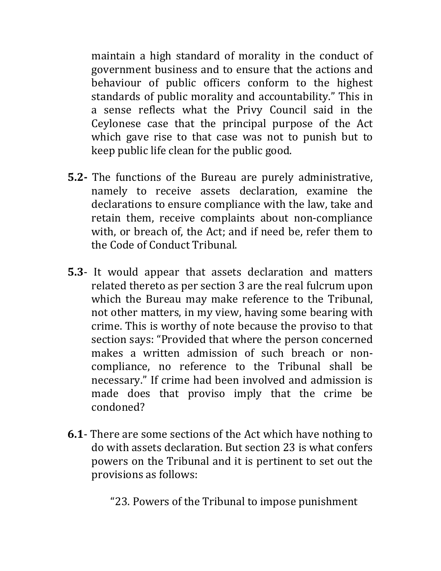maintain a high standard of morality in the conduct of government business and to ensure that the actions and behaviour of public officers conform to the highest standards of public morality and accountability." This in a sense reflects what the Privy Council said in the Ceylonese case that the principal purpose of the Act which gave rise to that case was not to punish but to keep public life clean for the public good.

- **5.2-** The functions of the Bureau are purely administrative, namely to receive assets declaration, examine the declarations to ensure compliance with the law, take and retain them, receive complaints about non-compliance with, or breach of, the Act; and if need be, refer them to the Code of Conduct Tribunal.
- **5.3** It would appear that assets declaration and matters related thereto as per section 3 are the real fulcrum upon which the Bureau may make reference to the Tribunal, not other matters, in my view, having some bearing with crime. This is worthy of note because the proviso to that section says: "Provided that where the person concerned makes a written admission of such breach or noncompliance, no reference to the Tribunal shall be necessary." If crime had been involved and admission is made does that proviso imply that the crime be condoned?
- **6.1** There are some sections of the Act which have nothing to do with assets declaration. But section 23 is what confers powers on the Tribunal and it is pertinent to set out the provisions as follows:

"23. Powers of the Tribunal to impose punishment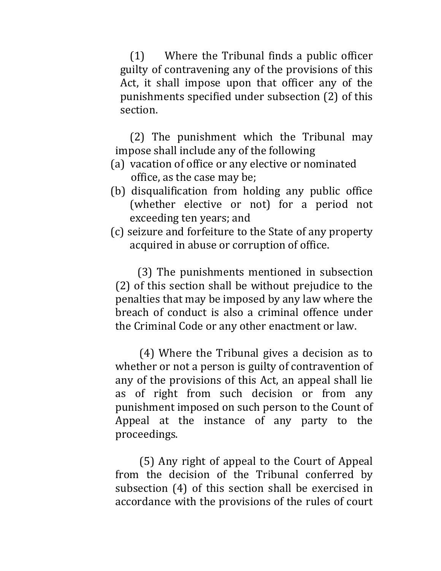(1) Where the Tribunal finds a public officer guilty of contravening any of the provisions of this Act, it shall impose upon that officer any of the punishments specified under subsection (2) of this section.

(2) The punishment which the Tribunal may impose shall include any of the following

- (a) vacation of office or any elective or nominated office, as the case may be;
- (b) disqualification from holding any public office (whether elective or not) for a period not exceeding ten years; and
- (c) seizure and forfeiture to the State of any property acquired in abuse or corruption of office.

 (3) The punishments mentioned in subsection (2) of this section shall be without prejudice to the penalties that may be imposed by any law where the breach of conduct is also a criminal offence under the Criminal Code or any other enactment or law.

(4) Where the Tribunal gives a decision as to whether or not a person is guilty of contravention of any of the provisions of this Act, an appeal shall lie as of right from such decision or from any punishment imposed on such person to the Count of Appeal at the instance of any party to the proceedings.

(5) Any right of appeal to the Court of Appeal from the decision of the Tribunal conferred by subsection (4) of this section shall be exercised in accordance with the provisions of the rules of court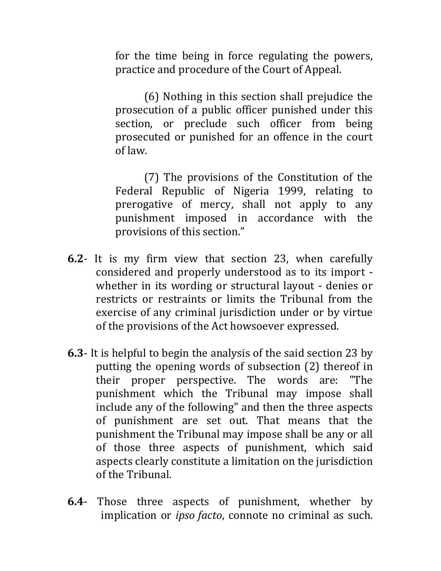for the time being in force regulating the powers, practice and procedure of the Court of Appeal.

(6) Nothing in this section shall prejudice the prosecution of a public officer punished under this section, or preclude such officer from being prosecuted or punished for an offence in the court of law.

(7) The provisions of the Constitution of the Federal Republic of Nigeria 1999, relating to prerogative of mercy, shall not apply to any punishment imposed in accordance with the provisions of this section."

- **6.2** It is my firm view that section 23, when carefully considered and properly understood as to its import whether in its wording or structural layout - denies or restricts or restraints or limits the Tribunal from the exercise of any criminal jurisdiction under or by virtue of the provisions of the Act howsoever expressed.
- **6.3** It is helpful to begin the analysis of the said section 23 by putting the opening words of subsection (2) thereof in their proper perspective. The words are: "The punishment which the Tribunal may impose shall include any of the following" and then the three aspects of punishment are set out. That means that the punishment the Tribunal may impose shall be any or all of those three aspects of punishment, which said aspects clearly constitute a limitation on the jurisdiction of the Tribunal.
- **6.4** Those three aspects of punishment, whether by implication or *ipso facto*, connote no criminal as such.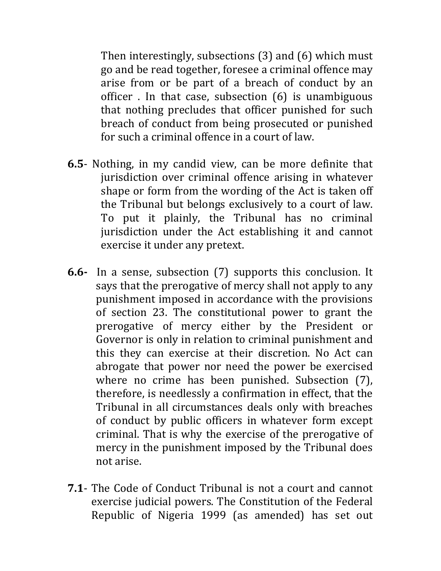Then interestingly, subsections (3) and (6) which must go and be read together, foresee a criminal offence may arise from or be part of a breach of conduct by an officer . In that case, subsection (6) is unambiguous that nothing precludes that officer punished for such breach of conduct from being prosecuted or punished for such a criminal offence in a court of law.

- **6.5** Nothing, in my candid view, can be more definite that jurisdiction over criminal offence arising in whatever shape or form from the wording of the Act is taken off the Tribunal but belongs exclusively to a court of law. To put it plainly, the Tribunal has no criminal jurisdiction under the Act establishing it and cannot exercise it under any pretext.
- **6.6-** In a sense, subsection (7) supports this conclusion. It says that the prerogative of mercy shall not apply to any punishment imposed in accordance with the provisions of section 23. The constitutional power to grant the prerogative of mercy either by the President or Governor is only in relation to criminal punishment and this they can exercise at their discretion. No Act can abrogate that power nor need the power be exercised where no crime has been punished. Subsection (7), therefore, is needlessly a confirmation in effect, that the Tribunal in all circumstances deals only with breaches of conduct by public officers in whatever form except criminal. That is why the exercise of the prerogative of mercy in the punishment imposed by the Tribunal does not arise.
- **7.1** The Code of Conduct Tribunal is not a court and cannot exercise judicial powers. The Constitution of the Federal Republic of Nigeria 1999 (as amended) has set out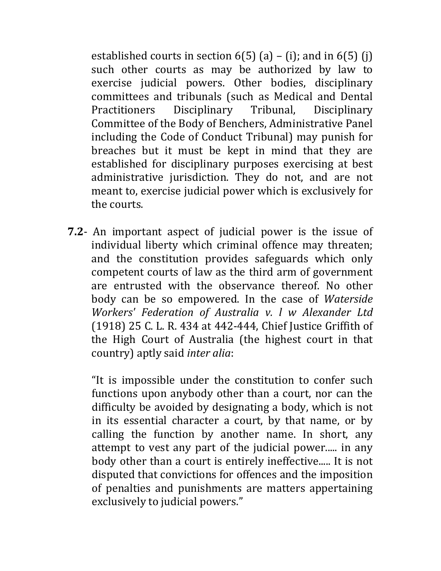established courts in section  $6(5)$  (a) – (i); and in  $6(5)$  (i) such other courts as may be authorized by law to exercise judicial powers. Other bodies, disciplinary committees and tribunals (such as Medical and Dental Practitioners Disciplinary Tribunal, Disciplinary Committee of the Body of Benchers, Administrative Panel including the Code of Conduct Tribunal) may punish for breaches but it must be kept in mind that they are established for disciplinary purposes exercising at best administrative jurisdiction. They do not, and are not meant to, exercise judicial power which is exclusively for the courts.

**7.2**- An important aspect of judicial power is the issue of individual liberty which criminal offence may threaten; and the constitution provides safeguards which only competent courts of law as the third arm of government are entrusted with the observance thereof. No other body can be so empowered. In the case of *Waterside Workers' Federation of Australia v. l w Alexander Ltd* (1918) 25 C. L. R. 434 at 442-444, Chief Justice Griffith of the High Court of Australia (the highest court in that country) aptly said *inter alia*:

"It is impossible under the constitution to confer such functions upon anybody other than a court, nor can the difficulty be avoided by designating a body, which is not in its essential character a court, by that name, or by calling the function by another name. In short, any attempt to vest any part of the judicial power..... in any body other than a court is entirely ineffective..... It is not disputed that convictions for offences and the imposition of penalties and punishments are matters appertaining exclusively to judicial powers."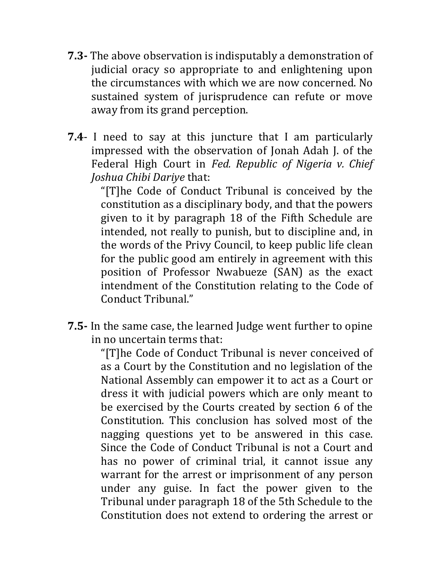- **7.3-** The above observation is indisputably a demonstration of judicial oracy so appropriate to and enlightening upon the circumstances with which we are now concerned. No sustained system of jurisprudence can refute or move away from its grand perception.
- **7.4** I need to say at this juncture that I am particularly impressed with the observation of Jonah Adah J. of the Federal High Court in *Fed. Republic of Nigeria v. Chief Joshua Chibi Dariye* that:

"[T]he Code of Conduct Tribunal is conceived by the constitution as a disciplinary body, and that the powers given to it by paragraph 18 of the Fifth Schedule are intended, not really to punish, but to discipline and, in the words of the Privy Council, to keep public life clean for the public good am entirely in agreement with this position of Professor Nwabueze (SAN) as the exact intendment of the Constitution relating to the Code of Conduct Tribunal."

**7.5-** In the same case, the learned Judge went further to opine in no uncertain terms that:

"[T]he Code of Conduct Tribunal is never conceived of as a Court by the Constitution and no legislation of the National Assembly can empower it to act as a Court or dress it with judicial powers which are only meant to be exercised by the Courts created by section 6 of the Constitution. This conclusion has solved most of the nagging questions yet to be answered in this case. Since the Code of Conduct Tribunal is not a Court and has no power of criminal trial, it cannot issue any warrant for the arrest or imprisonment of any person under any guise. In fact the power given to the Tribunal under paragraph 18 of the 5th Schedule to the Constitution does not extend to ordering the arrest or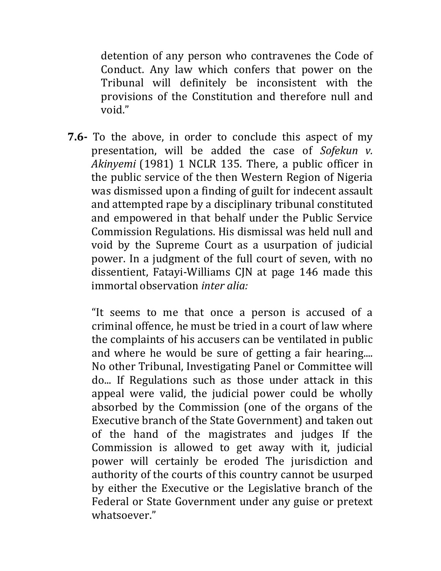detention of any person who contravenes the Code of Conduct. Any law which confers that power on the Tribunal will definitely be inconsistent with the provisions of the Constitution and therefore null and void."

**7.6-** To the above, in order to conclude this aspect of my presentation, will be added the case of *Sofekun v. Akinyemi* (1981) 1 NCLR 135. There, a public officer in the public service of the then Western Region of Nigeria was dismissed upon a finding of guilt for indecent assault and attempted rape by a disciplinary tribunal constituted and empowered in that behalf under the Public Service Commission Regulations. His dismissal was held null and void by the Supreme Court as a usurpation of judicial power. In a judgment of the full court of seven, with no dissentient, Fatayi-Williams CJN at page 146 made this immortal observation *inter alia:*

"It seems to me that once a person is accused of a criminal offence, he must be tried in a court of law where the complaints of his accusers can be ventilated in public and where he would be sure of getting a fair hearing.... No other Tribunal, Investigating Panel or Committee will do... If Regulations such as those under attack in this appeal were valid, the judicial power could be wholly absorbed by the Commission (one of the organs of the Executive branch of the State Government) and taken out of the hand of the magistrates and judges If the Commission is allowed to get away with it, judicial power will certainly be eroded The jurisdiction and authority of the courts of this country cannot be usurped by either the Executive or the Legislative branch of the Federal or State Government under any guise or pretext whatsoever."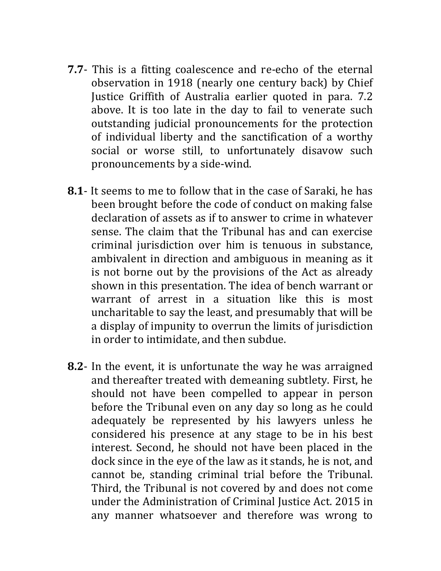- **7.7** This is a fitting coalescence and re-echo of the eternal observation in 1918 (nearly one century back) by Chief Justice Griffith of Australia earlier quoted in para. 7.2 above. It is too late in the day to fail to venerate such outstanding judicial pronouncements for the protection of individual liberty and the sanctification of a worthy social or worse still, to unfortunately disavow such pronouncements by a side-wind.
- **8.1** It seems to me to follow that in the case of Saraki, he has been brought before the code of conduct on making false declaration of assets as if to answer to crime in whatever sense. The claim that the Tribunal has and can exercise criminal jurisdiction over him is tenuous in substance, ambivalent in direction and ambiguous in meaning as it is not borne out by the provisions of the Act as already shown in this presentation. The idea of bench warrant or warrant of arrest in a situation like this is most uncharitable to say the least, and presumably that will be a display of impunity to overrun the limits of jurisdiction in order to intimidate, and then subdue.
- **8.2** In the event, it is unfortunate the way he was arraigned and thereafter treated with demeaning subtlety. First, he should not have been compelled to appear in person before the Tribunal even on any day so long as he could adequately be represented by his lawyers unless he considered his presence at any stage to be in his best interest. Second, he should not have been placed in the dock since in the eye of the law as it stands, he is not, and cannot be, standing criminal trial before the Tribunal. Third, the Tribunal is not covered by and does not come under the Administration of Criminal Justice Act. 2015 in any manner whatsoever and therefore was wrong to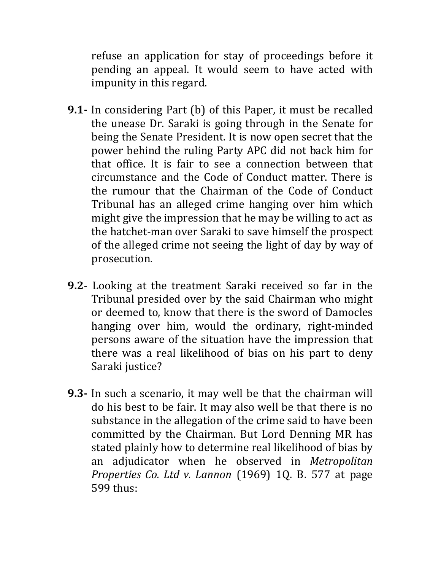refuse an application for stay of proceedings before it pending an appeal. It would seem to have acted with impunity in this regard.

- **9.1-** In considering Part (b) of this Paper, it must be recalled the unease Dr. Saraki is going through in the Senate for being the Senate President. It is now open secret that the power behind the ruling Party APC did not back him for that office. It is fair to see a connection between that circumstance and the Code of Conduct matter. There is the rumour that the Chairman of the Code of Conduct Tribunal has an alleged crime hanging over him which might give the impression that he may be willing to act as the hatchet-man over Saraki to save himself the prospect of the alleged crime not seeing the light of day by way of prosecution.
- **9.2** Looking at the treatment Saraki received so far in the Tribunal presided over by the said Chairman who might or deemed to, know that there is the sword of Damocles hanging over him, would the ordinary, right-minded persons aware of the situation have the impression that there was a real likelihood of bias on his part to deny Saraki justice?
- **9.3-** In such a scenario, it may well be that the chairman will do his best to be fair. It may also well be that there is no substance in the allegation of the crime said to have been committed by the Chairman. But Lord Denning MR has stated plainly how to determine real likelihood of bias by an adjudicator when he observed in *Metropolitan Properties Co. Ltd v. Lannon* (1969) 1Q. B. 577 at page 599 thus: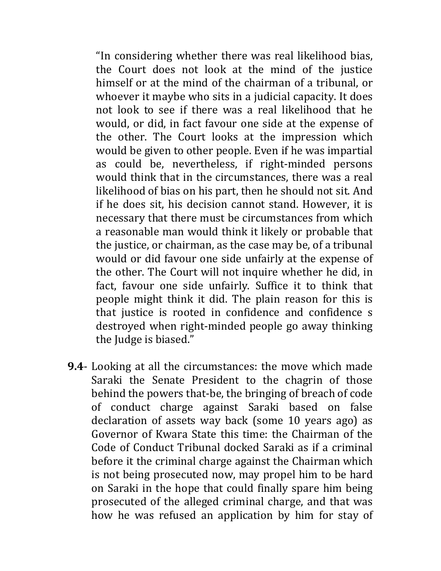"In considering whether there was real likelihood bias, the Court does not look at the mind of the justice himself or at the mind of the chairman of a tribunal, or whoever it maybe who sits in a judicial capacity. It does not look to see if there was a real likelihood that he would, or did, in fact favour one side at the expense of the other. The Court looks at the impression which would be given to other people. Even if he was impartial as could be, nevertheless, if right-minded persons would think that in the circumstances, there was a real likelihood of bias on his part, then he should not sit. And if he does sit, his decision cannot stand. However, it is necessary that there must be circumstances from which a reasonable man would think it likely or probable that the justice, or chairman, as the case may be, of a tribunal would or did favour one side unfairly at the expense of the other. The Court will not inquire whether he did, in fact, favour one side unfairly. Suffice it to think that people might think it did. The plain reason for this is that justice is rooted in confidence and confidence s destroyed when right-minded people go away thinking the Judge is biased."

**9.4**- Looking at all the circumstances: the move which made Saraki the Senate President to the chagrin of those behind the powers that-be, the bringing of breach of code of conduct charge against Saraki based on false declaration of assets way back (some 10 years ago) as Governor of Kwara State this time: the Chairman of the Code of Conduct Tribunal docked Saraki as if a criminal before it the criminal charge against the Chairman which is not being prosecuted now, may propel him to be hard on Saraki in the hope that could finally spare him being prosecuted of the alleged criminal charge, and that was how he was refused an application by him for stay of